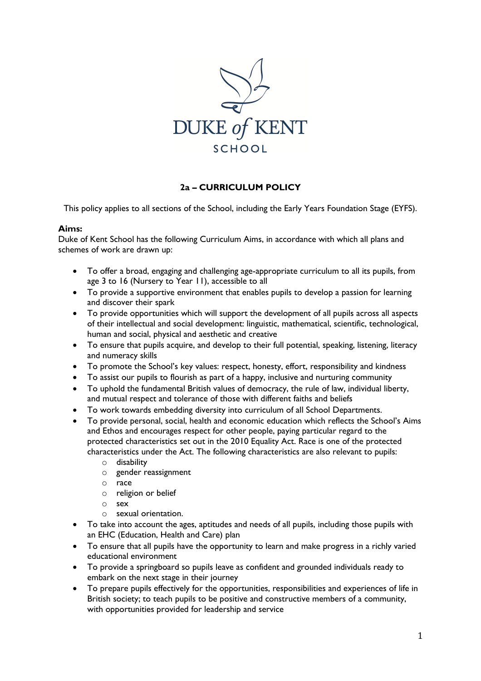

# **2a – CURRICULUM POLICY**

This policy applies to all sections of the School, including the Early Years Foundation Stage (EYFS).

#### **Aims:**

Duke of Kent School has the following Curriculum Aims, in accordance with which all plans and schemes of work are drawn up:

- To offer a broad, engaging and challenging age-appropriate curriculum to all its pupils, from age 3 to 16 (Nursery to Year 11), accessible to all
- To provide a supportive environment that enables pupils to develop a passion for learning and discover their spark
- To provide opportunities which will support the development of all pupils across all aspects of their intellectual and social development: linguistic, mathematical, scientific, technological, human and social, physical and aesthetic and creative
- To ensure that pupils acquire, and develop to their full potential, speaking, listening, literacy and numeracy skills
- To promote the School's key values: respect, honesty, effort, responsibility and kindness
- To assist our pupils to flourish as part of a happy, inclusive and nurturing community
- To uphold the fundamental British values of democracy, the rule of law, individual liberty, and mutual respect and tolerance of those with different faiths and beliefs
- To work towards embedding diversity into curriculum of all School Departments.
- To provide personal, social, health and economic education which reflects the School's Aims and Ethos and encourages respect for other people, paying particular regard to the protected characteristics set out in the 2010 Equality Act. Race is one of the protected characteristics under the Act. The following characteristics are also relevant to pupils:
	- o disability
	- o gender reassignment
	- o race
	- o religion or belief
	- o sex
	- o sexual orientation.
- To take into account the ages, aptitudes and needs of all pupils, including those pupils with an EHC (Education, Health and Care) plan
- To ensure that all pupils have the opportunity to learn and make progress in a richly varied educational environment
- To provide a springboard so pupils leave as confident and grounded individuals ready to embark on the next stage in their journey
- To prepare pupils effectively for the opportunities, responsibilities and experiences of life in British society; to teach pupils to be positive and constructive members of a community, with opportunities provided for leadership and service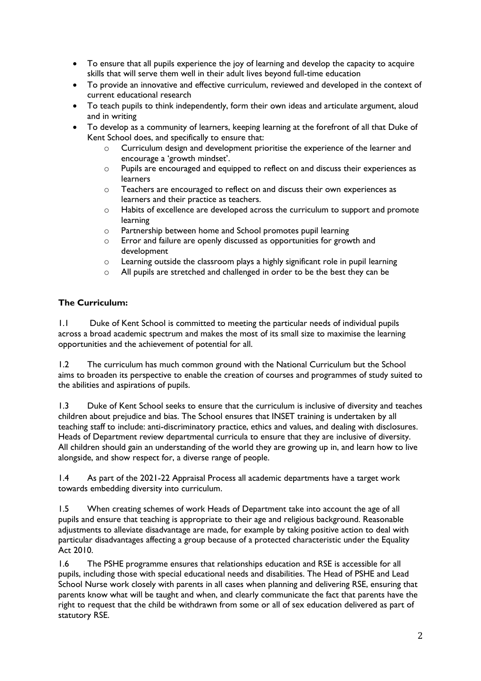- To ensure that all pupils experience the joy of learning and develop the capacity to acquire skills that will serve them well in their adult lives beyond full-time education
- To provide an innovative and effective curriculum, reviewed and developed in the context of current educational research
- To teach pupils to think independently, form their own ideas and articulate argument, aloud and in writing
- To develop as a community of learners, keeping learning at the forefront of all that Duke of Kent School does, and specifically to ensure that:
	- o Curriculum design and development prioritise the experience of the learner and encourage a 'growth mindset'.
	- o Pupils are encouraged and equipped to reflect on and discuss their experiences as learners
	- o Teachers are encouraged to reflect on and discuss their own experiences as learners and their practice as teachers.
	- o Habits of excellence are developed across the curriculum to support and promote learning
	- o Partnership between home and School promotes pupil learning
	- o Error and failure are openly discussed as opportunities for growth and development
	- o Learning outside the classroom plays a highly significant role in pupil learning
	- o All pupils are stretched and challenged in order to be the best they can be

#### **The Curriculum:**

1.1 Duke of Kent School is committed to meeting the particular needs of individual pupils across a broad academic spectrum and makes the most of its small size to maximise the learning opportunities and the achievement of potential for all.

1.2 The curriculum has much common ground with the National Curriculum but the School aims to broaden its perspective to enable the creation of courses and programmes of study suited to the abilities and aspirations of pupils.

1.3 Duke of Kent School seeks to ensure that the curriculum is inclusive of diversity and teaches children about prejudice and bias. The School ensures that INSET training is undertaken by all teaching staff to include: anti-discriminatory practice, ethics and values, and dealing with disclosures. Heads of Department review departmental curricula to ensure that they are inclusive of diversity. All children should gain an understanding of the world they are growing up in, and learn how to live alongside, and show respect for, a diverse range of people.

1.4 As part of the 2021-22 Appraisal Process all academic departments have a target work towards embedding diversity into curriculum.

1.5 When creating schemes of work Heads of Department take into account the age of all pupils and ensure that teaching is appropriate to their age and religious background. Reasonable adjustments to alleviate disadvantage are made, for example by taking positive action to deal with particular disadvantages affecting a group because of a protected characteristic under the Equality Act 2010.

1.6 The PSHE programme ensures that relationships education and RSE is accessible for all pupils, including those with special educational needs and disabilities. The Head of PSHE and Lead School Nurse work closely with parents in all cases when planning and delivering RSE, ensuring that parents know what will be taught and when, and clearly communicate the fact that parents have the right to request that the child be withdrawn from some or all of sex education delivered as part of statutory RSE.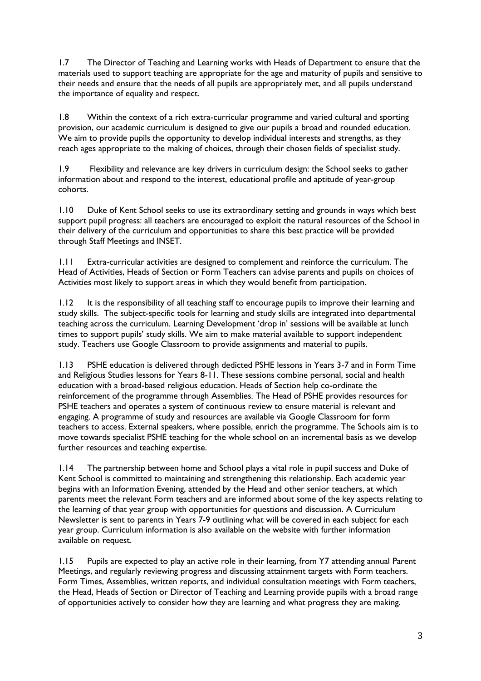1.7 The Director of Teaching and Learning works with Heads of Department to ensure that the materials used to support teaching are appropriate for the age and maturity of pupils and sensitive to their needs and ensure that the needs of all pupils are appropriately met, and all pupils understand the importance of equality and respect.

1.8 Within the context of a rich extra-curricular programme and varied cultural and sporting provision, our academic curriculum is designed to give our pupils a broad and rounded education. We aim to provide pupils the opportunity to develop individual interests and strengths, as they reach ages appropriate to the making of choices, through their chosen fields of specialist study.

1.9 Flexibility and relevance are key drivers in curriculum design: the School seeks to gather information about and respond to the interest, educational profile and aptitude of year-group cohorts.

1.10 Duke of Kent School seeks to use its extraordinary setting and grounds in ways which best support pupil progress: all teachers are encouraged to exploit the natural resources of the School in their delivery of the curriculum and opportunities to share this best practice will be provided through Staff Meetings and INSET.

1.11 Extra-curricular activities are designed to complement and reinforce the curriculum. The Head of Activities, Heads of Section or Form Teachers can advise parents and pupils on choices of Activities most likely to support areas in which they would benefit from participation.

1.12 It is the responsibility of all teaching staff to encourage pupils to improve their learning and study skills. The subject-specific tools for learning and study skills are integrated into departmental teaching across the curriculum. Learning Development 'drop in' sessions will be available at lunch times to support pupils' study skills. We aim to make material available to support independent study. Teachers use Google Classroom to provide assignments and material to pupils.

1.13 PSHE education is delivered through dedicted PSHE lessons in Years 3-7 and in Form Time and Religious Studies lessons for Years 8-11. These sessions combine personal, social and health education with a broad-based religious education. Heads of Section help co-ordinate the reinforcement of the programme through Assemblies. The Head of PSHE provides resources for PSHE teachers and operates a system of continuous review to ensure material is relevant and engaging. A programme of study and resources are available via Google Classroom for form teachers to access. External speakers, where possible, enrich the programme. The Schools aim is to move towards specialist PSHE teaching for the whole school on an incremental basis as we develop further resources and teaching expertise.

1.14 The partnership between home and School plays a vital role in pupil success and Duke of Kent School is committed to maintaining and strengthening this relationship. Each academic year begins with an Information Evening, attended by the Head and other senior teachers, at which parents meet the relevant Form teachers and are informed about some of the key aspects relating to the learning of that year group with opportunities for questions and discussion. A Curriculum Newsletter is sent to parents in Years 7-9 outlining what will be covered in each subject for each year group. Curriculum information is also available on the website with further information available on request.

1.15 Pupils are expected to play an active role in their learning, from Y7 attending annual Parent Meetings, and regularly reviewing progress and discussing attainment targets with Form teachers. Form Times, Assemblies, written reports, and individual consultation meetings with Form teachers, the Head, Heads of Section or Director of Teaching and Learning provide pupils with a broad range of opportunities actively to consider how they are learning and what progress they are making.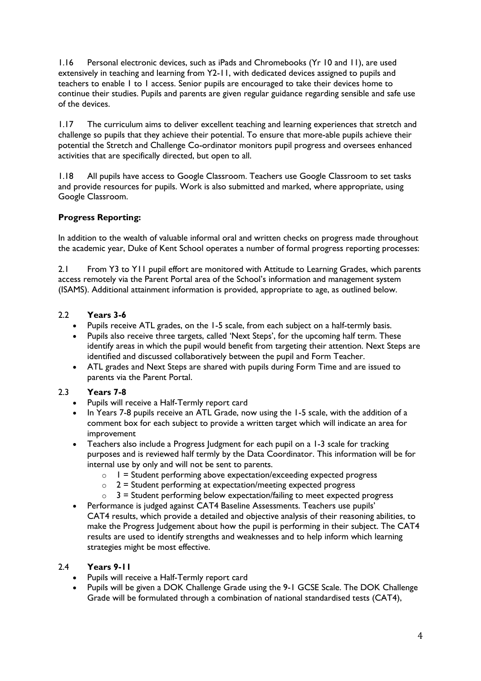1.16 Personal electronic devices, such as iPads and Chromebooks (Yr 10 and 11), are used extensively in teaching and learning from Y2-11, with dedicated devices assigned to pupils and teachers to enable 1 to 1 access. Senior pupils are encouraged to take their devices home to continue their studies. Pupils and parents are given regular guidance regarding sensible and safe use of the devices.

1.17 The curriculum aims to deliver excellent teaching and learning experiences that stretch and challenge so pupils that they achieve their potential. To ensure that more-able pupils achieve their potential the Stretch and Challenge Co-ordinator monitors pupil progress and oversees enhanced activities that are specifically directed, but open to all.

1.18 All pupils have access to Google Classroom. Teachers use Google Classroom to set tasks and provide resources for pupils. Work is also submitted and marked, where appropriate, using Google Classroom.

# **Progress Reporting:**

In addition to the wealth of valuable informal oral and written checks on progress made throughout the academic year, Duke of Kent School operates a number of formal progress reporting processes:

2.1 From Y3 to Y11 pupil effort are monitored with Attitude to Learning Grades, which parents access remotely via the Parent Portal area of the School's information and management system (ISAMS). Additional attainment information is provided, appropriate to age, as outlined below.

# 2.2 **Years 3-6**

- 
- Pupils receive ATL grades, on the 1-5 scale, from each subject on a half-termly basis.<br>• Pupils also receive three targets, called 'Next Steps', for the upcoming half term. The: Pupils also receive three targets, called 'Next Steps', for the upcoming half term. These identify areas in which the pupil would benefit from targeting their attention. Next Steps are identified and discussed collaboratively between the pupil and Form Teacher.
- ATL grades and Next Steps are shared with pupils during Form Time and are issued to parents via the Parent Portal.

# 2.3 **Years 7-8**

- Pupils will receive a Half-Termly report card
- In Years 7-8 pupils receive an ATL Grade, now using the 1-5 scale, with the addition of a comment box for each subject to provide a written target which will indicate an area for improvement
- Teachers also include a Progress Judgment for each pupil on a 1-3 scale for tracking purposes and is reviewed half termly by the Data Coordinator. This information will be for internal use by only and will not be sent to parents.
	- $\circ$  1 = Student performing above expectation/exceeding expected progress
	- $\circ$  2 = Student performing at expectation/meeting expected progress
	- $\circ$  3 = Student performing below expectation/failing to meet expected progress
- Performance is judged against CAT4 Baseline Assessments. Teachers use pupils' CAT4 results, which provide a detailed and objective analysis of their reasoning abilities, to make the Progress Judgement about how the pupil is performing in their subject. The CAT4 results are used to identify strengths and weaknesses and to help inform which learning strategies might be most effective.

# 2.4 **Years 9-11**

- Pupils will receive a Half-Termly report card
- Pupils will be given a DOK Challenge Grade using the 9-1 GCSE Scale. The DOK Challenge Grade will be formulated through a combination of national standardised tests (CAT4),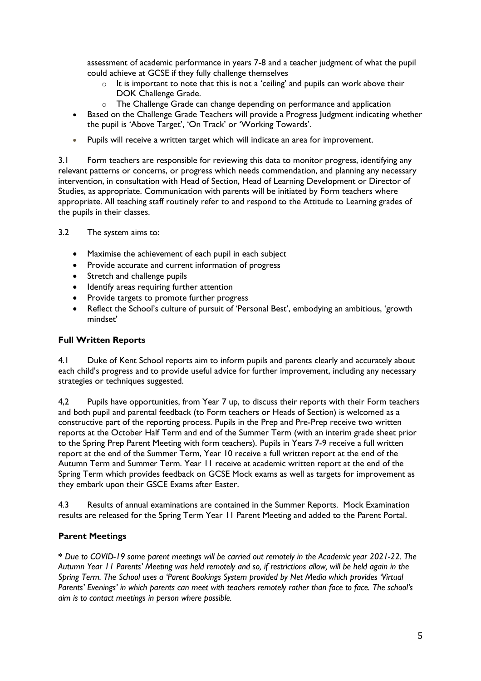assessment of academic performance in years 7-8 and a teacher judgment of what the pupil could achieve at GCSE if they fully challenge themselves

- o It is important to note that this is not a 'ceiling' and pupils can work above their DOK Challenge Grade.
- o The Challenge Grade can change depending on performance and application
- Based on the Challenge Grade Teachers will provide a Progress Judgment indicating whether the pupil is 'Above Target', 'On Track' or 'Working Towards'.
- Pupils will receive a written target which will indicate an area for improvement.

3.1 Form teachers are responsible for reviewing this data to monitor progress, identifying any relevant patterns or concerns, or progress which needs commendation, and planning any necessary intervention, in consultation with Head of Section, Head of Learning Development or Director of Studies, as appropriate. Communication with parents will be initiated by Form teachers where appropriate. All teaching staff routinely refer to and respond to the Attitude to Learning grades of the pupils in their classes.

3.2 The system aims to:

- Maximise the achievement of each pupil in each subject
- Provide accurate and current information of progress
- Stretch and challenge pupils
- Identify areas requiring further attention
- Provide targets to promote further progress
- Reflect the School's culture of pursuit of 'Personal Best', embodying an ambitious, 'growth mindset'

#### **Full Written Reports**

4.1 Duke of Kent School reports aim to inform pupils and parents clearly and accurately about each child's progress and to provide useful advice for further improvement, including any necessary strategies or techniques suggested.

4,2 Pupils have opportunities, from Year 7 up, to discuss their reports with their Form teachers and both pupil and parental feedback (to Form teachers or Heads of Section) is welcomed as a constructive part of the reporting process. Pupils in the Prep and Pre-Prep receive two written reports at the October Half Term and end of the Summer Term (with an interim grade sheet prior to the Spring Prep Parent Meeting with form teachers). Pupils in Years 7-9 receive a full written report at the end of the Summer Term, Year 10 receive a full written report at the end of the Autumn Term and Summer Term. Year 11 receive at academic written report at the end of the Spring Term which provides feedback on GCSE Mock exams as well as targets for improvement as they embark upon their GSCE Exams after Easter.

4.3 Results of annual examinations are contained in the Summer Reports. Mock Examination results are released for the Spring Term Year 11 Parent Meeting and added to the Parent Portal.

# **Parent Meetings**

**\*** *Due to COVID-19 some parent meetings will be carried out remotely in the Academic year 2021-22. The Autumn Year 11 Parents' Meeting was held remotely and so, if restrictions allow, will be held again in the Spring Term. The School uses a 'Parent Bookings System provided by Net Media which provides 'Virtual Parents' Evenings' in which parents can meet with teachers remotely rather than face to face. The school's aim is to contact meetings in person where possible.*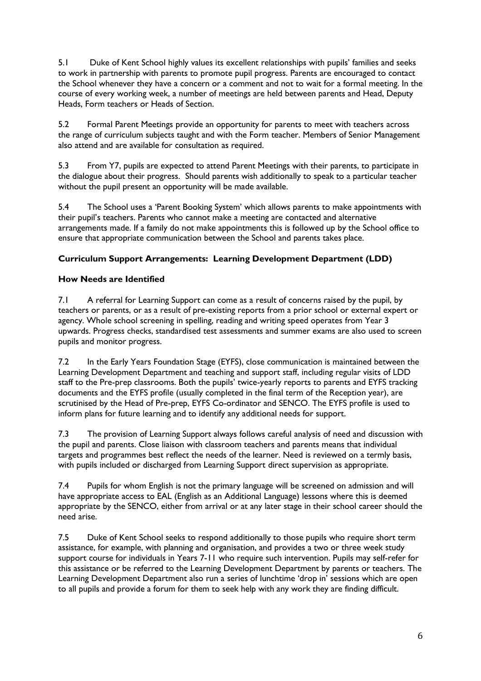5.1 Duke of Kent School highly values its excellent relationships with pupils' families and seeks to work in partnership with parents to promote pupil progress. Parents are encouraged to contact the School whenever they have a concern or a comment and not to wait for a formal meeting. In the course of every working week, a number of meetings are held between parents and Head, Deputy Heads, Form teachers or Heads of Section.

5.2 Formal Parent Meetings provide an opportunity for parents to meet with teachers across the range of curriculum subjects taught and with the Form teacher. Members of Senior Management also attend and are available for consultation as required.

5.3 From Y7, pupils are expected to attend Parent Meetings with their parents, to participate in the dialogue about their progress. Should parents wish additionally to speak to a particular teacher without the pupil present an opportunity will be made available.

5.4 The School uses a 'Parent Booking System' which allows parents to make appointments with their pupil's teachers. Parents who cannot make a meeting are contacted and alternative arrangements made. If a family do not make appointments this is followed up by the School office to ensure that appropriate communication between the School and parents takes place.

# **Curriculum Support Arrangements: Learning Development Department (LDD)**

#### **How Needs are Identified**

7.1 A referral for Learning Support can come as a result of concerns raised by the pupil, by teachers or parents, or as a result of pre-existing reports from a prior school or external expert or agency. Whole school screening in spelling, reading and writing speed operates from Year 3 upwards. Progress checks, standardised test assessments and summer exams are also used to screen pupils and monitor progress.

7.2 In the Early Years Foundation Stage (EYFS), close communication is maintained between the Learning Development Department and teaching and support staff, including regular visits of LDD staff to the Pre-prep classrooms. Both the pupils' twice-yearly reports to parents and EYFS tracking documents and the EYFS profile (usually completed in the final term of the Reception year), are scrutinised by the Head of Pre-prep, EYFS Co-ordinator and SENCO. The EYFS profile is used to inform plans for future learning and to identify any additional needs for support.

7.3 The provision of Learning Support always follows careful analysis of need and discussion with the pupil and parents. Close liaison with classroom teachers and parents means that individual targets and programmes best reflect the needs of the learner. Need is reviewed on a termly basis, with pupils included or discharged from Learning Support direct supervision as appropriate.

7.4 Pupils for whom English is not the primary language will be screened on admission and will have appropriate access to EAL (English as an Additional Language) lessons where this is deemed appropriate by the SENCO, either from arrival or at any later stage in their school career should the need arise.

7.5 Duke of Kent School seeks to respond additionally to those pupils who require short term assistance, for example, with planning and organisation, and provides a two or three week study support course for individuals in Years 7-11 who require such intervention. Pupils may self-refer for this assistance or be referred to the Learning Development Department by parents or teachers. The Learning Development Department also run a series of lunchtime 'drop in' sessions which are open to all pupils and provide a forum for them to seek help with any work they are finding difficult.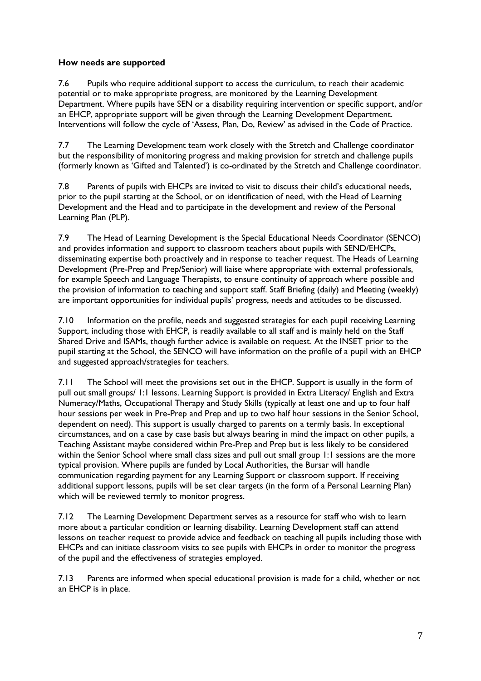#### **How needs are supported**

7.6 Pupils who require additional support to access the curriculum, to reach their academic potential or to make appropriate progress, are monitored by the Learning Development Department. Where pupils have SEN or a disability requiring intervention or specific support, and/or an EHCP, appropriate support will be given through the Learning Development Department. Interventions will follow the cycle of 'Assess, Plan, Do, Review' as advised in the Code of Practice.

7.7 The Learning Development team work closely with the Stretch and Challenge coordinator but the responsibility of monitoring progress and making provision for stretch and challenge pupils (formerly known as 'Gifted and Talented') is co-ordinated by the Stretch and Challenge coordinator.

7.8 Parents of pupils with EHCPs are invited to visit to discuss their child's educational needs, prior to the pupil starting at the School, or on identification of need, with the Head of Learning Development and the Head and to participate in the development and review of the Personal Learning Plan (PLP).

7.9 The Head of Learning Development is the Special Educational Needs Coordinator (SENCO) and provides information and support to classroom teachers about pupils with SEND/EHCPs, disseminating expertise both proactively and in response to teacher request. The Heads of Learning Development (Pre-Prep and Prep/Senior) will liaise where appropriate with external professionals, for example Speech and Language Therapists, to ensure continuity of approach where possible and the provision of information to teaching and support staff. Staff Briefing (daily) and Meeting (weekly) are important opportunities for individual pupils' progress, needs and attitudes to be discussed.

7.10 Information on the profile, needs and suggested strategies for each pupil receiving Learning Support, including those with EHCP, is readily available to all staff and is mainly held on the Staff Shared Drive and ISAMs, though further advice is available on request. At the INSET prior to the pupil starting at the School, the SENCO will have information on the profile of a pupil with an EHCP and suggested approach/strategies for teachers.

7.11 The School will meet the provisions set out in the EHCP. Support is usually in the form of pull out small groups/ 1:1 lessons. Learning Support is provided in Extra Literacy/ English and Extra Numeracy/Maths, Occupational Therapy and Study Skills (typically at least one and up to four half hour sessions per week in Pre-Prep and Prep and up to two half hour sessions in the Senior School, dependent on need). This support is usually charged to parents on a termly basis. In exceptional circumstances, and on a case by case basis but always bearing in mind the impact on other pupils, a Teaching Assistant maybe considered within Pre-Prep and Prep but is less likely to be considered within the Senior School where small class sizes and pull out small group 1:1 sessions are the more typical provision. Where pupils are funded by Local Authorities, the Bursar will handle communication regarding payment for any Learning Support or classroom support. If receiving additional support lessons, pupils will be set clear targets (in the form of a Personal Learning Plan) which will be reviewed termly to monitor progress.

7.12 The Learning Development Department serves as a resource for staff who wish to learn more about a particular condition or learning disability. Learning Development staff can attend lessons on teacher request to provide advice and feedback on teaching all pupils including those with EHCPs and can initiate classroom visits to see pupils with EHCPs in order to monitor the progress of the pupil and the effectiveness of strategies employed.

7.13 Parents are informed when special educational provision is made for a child, whether or not an EHCP is in place.